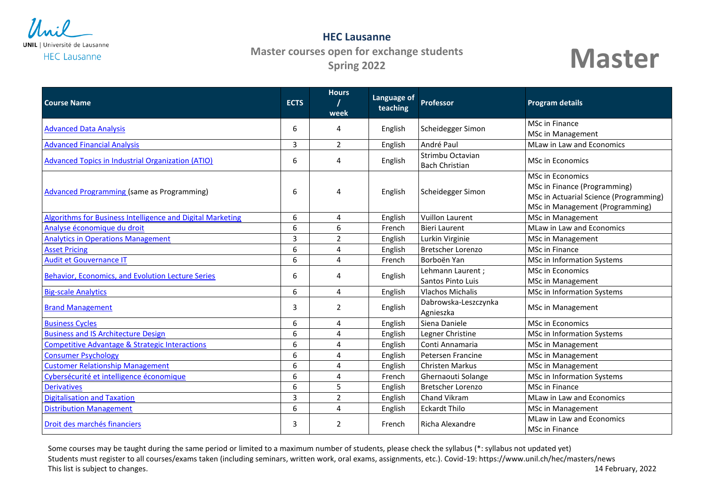

## **HEC Lausanne Master courses open for exchange students Spring 2022**



| <b>Course Name</b>                                         | <b>ECTS</b>    | <b>Hours</b><br>week | Language of<br>teaching | Professor                                 | <b>Program details</b>                                                                                                               |
|------------------------------------------------------------|----------------|----------------------|-------------------------|-------------------------------------------|--------------------------------------------------------------------------------------------------------------------------------------|
| <b>Advanced Data Analysis</b>                              | 6              | 4                    | English                 | Scheidegger Simon                         | <b>MSc in Finance</b>                                                                                                                |
| <b>Advanced Financial Analysis</b>                         | 3              |                      |                         | André Paul                                | MSc in Management<br><b>MLaw in Law and Economics</b>                                                                                |
|                                                            |                | $\overline{2}$       | English                 |                                           |                                                                                                                                      |
| <b>Advanced Topics in Industrial Organization (ATIO)</b>   | 6              | 4                    | English                 | Strimbu Octavian<br><b>Bach Christian</b> | <b>MSc in Economics</b>                                                                                                              |
| <b>Advanced Programming (same as Programming)</b>          | 6              | 4                    | English                 | Scheidegger Simon                         | <b>MSc in Economics</b><br>MSc in Finance (Programming)<br>MSc in Actuarial Science (Programming)<br>MSc in Management (Programming) |
| Algorithms for Business Intelligence and Digital Marketing | 6              | 4                    | English                 | <b>Vuillon Laurent</b>                    | MSc in Management                                                                                                                    |
| Analyse économique du droit                                | 6              | 6                    | French                  | <b>Bieri Laurent</b>                      | <b>MLaw in Law and Economics</b>                                                                                                     |
| <b>Analytics in Operations Management</b>                  | $\overline{3}$ | $\overline{2}$       | English                 | Lurkin Virginie                           | <b>MSc in Management</b>                                                                                                             |
| <b>Asset Pricing</b>                                       | 6              | 4                    | English                 | <b>Bretscher Lorenzo</b>                  | MSc in Finance                                                                                                                       |
| <b>Audit et Gouvernance IT</b>                             | 6              | 4                    | French                  | Borboën Yan                               | MSc in Information Systems                                                                                                           |
| Behavior, Economics, and Evolution Lecture Series          | 6              | 4                    | English                 | Lehmann Laurent;<br>Santos Pinto Luis     | <b>MSc in Economics</b><br>MSc in Management                                                                                         |
| <b>Big-scale Analytics</b>                                 | 6              | $\overline{4}$       | English                 | <b>Vlachos Michalis</b>                   | MSc in Information Systems                                                                                                           |
| <b>Brand Management</b>                                    | 3              | $\overline{2}$       | English                 | Dabrowska-Leszczynka<br>Agnieszka         | <b>MSc in Management</b>                                                                                                             |
| <b>Business Cycles</b>                                     | 6              | 4                    | English                 | Siena Daniele                             | <b>MSc in Economics</b>                                                                                                              |
| <b>Business and IS Architecture Design</b>                 | 6              | 4                    | English                 | Legner Christine                          | MSc in Information Systems                                                                                                           |
| <b>Competitive Advantage &amp; Strategic Interactions</b>  | 6              | 4                    | English                 | Conti Annamaria                           | MSc in Management                                                                                                                    |
| <b>Consumer Psychology</b>                                 | 6              | 4                    | English                 | Petersen Francine                         | MSc in Management                                                                                                                    |
| <b>Customer Relationship Management</b>                    | 6              | 4                    | English                 | <b>Christen Markus</b>                    | MSc in Management                                                                                                                    |
| Cybersécurité et intelligence économique                   | 6              | 4                    | French                  | Ghernaouti Solange                        | MSc in Information Systems                                                                                                           |
| <b>Derivatives</b>                                         | 6              | 5                    | English                 | <b>Bretscher Lorenzo</b>                  | MSc in Finance                                                                                                                       |
| <b>Digitalisation and Taxation</b>                         | 3              | $\overline{2}$       | English                 | Chand Vikram                              | MLaw in Law and Economics                                                                                                            |
| <b>Distribution Management</b>                             | 6              | 4                    | English                 | <b>Eckardt Thilo</b>                      | MSc in Management                                                                                                                    |
| Droit des marchés financiers                               | 3              | $\overline{2}$       | French                  | Richa Alexandre                           | MLaw in Law and Economics<br>MSc in Finance                                                                                          |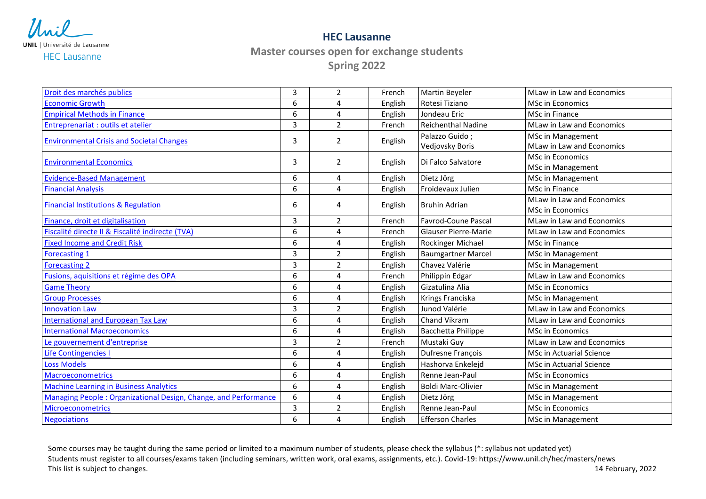

**HEC Lausanne**

**Master courses open for exchange students**

**Spring 2022**

| Droit des marchés publics                                       | 3 | $\overline{2}$ | French  | Martin Beyeler              | MLaw in Law and Economics       |
|-----------------------------------------------------------------|---|----------------|---------|-----------------------------|---------------------------------|
| <b>Economic Growth</b>                                          | 6 | 4              | English | Rotesi Tiziano              | MSc in Economics                |
| <b>Empirical Methods in Finance</b>                             | 6 | 4              | English | Jondeau Eric                | <b>MSc in Finance</b>           |
| Entreprenariat : outils et atelier                              | 3 | $\overline{2}$ | French  | <b>Reichenthal Nadine</b>   | MLaw in Law and Economics       |
| <b>Environmental Crisis and Societal Changes</b>                | 3 | $\overline{2}$ | English | Palazzo Guido;              | MSc in Management               |
|                                                                 |   |                |         | Vedjovsky Boris             | MLaw in Law and Economics       |
| <b>Environmental Economics</b>                                  | 3 | 2              | English | Di Falco Salvatore          | <b>MSc in Economics</b>         |
|                                                                 |   |                |         |                             | <b>MSc in Management</b>        |
| <b>Evidence-Based Management</b>                                | 6 | 4              | English | Dietz Jörg                  | MSc in Management               |
| <b>Financial Analysis</b>                                       | 6 | 4              | English | Froidevaux Julien           | MSc in Finance                  |
| <b>Financial Institutions &amp; Regulation</b>                  | 6 | 4              | English | <b>Bruhin Adrian</b>        | MLaw in Law and Economics       |
|                                                                 |   |                |         |                             | <b>MSc in Economics</b>         |
| Finance, droit et digitalisation                                | 3 | $\overline{2}$ | French  | <b>Favrod-Coune Pascal</b>  | MLaw in Law and Economics       |
| Fiscalité directe II & Fiscalité indirecte (TVA)                | 6 | 4              | French  | <b>Glauser Pierre-Marie</b> | MLaw in Law and Economics       |
| <b>Fixed Income and Credit Risk</b>                             | 6 | 4              | English | Rockinger Michael           | MSc in Finance                  |
| <b>Forecasting 1</b>                                            | 3 | $\overline{2}$ | English | <b>Baumgartner Marcel</b>   | <b>MSc in Management</b>        |
| <b>Forecasting 2</b>                                            | 3 | $\overline{2}$ | English | Chavez Valérie              | MSc in Management               |
| Fusions, aquisitions et régime des OPA                          | 6 | 4              | French  | Philippin Edgar             | MLaw in Law and Economics       |
| <b>Game Theory</b>                                              | 6 | 4              | English | Gizatulina Alia             | <b>MSc in Economics</b>         |
| <b>Group Processes</b>                                          | 6 | 4              | English | Krings Franciska            | <b>MSc in Management</b>        |
| <b>Innovation Law</b>                                           | 3 | $\overline{2}$ | English | Junod Valérie               | MLaw in Law and Economics       |
| <b>International and European Tax Law</b>                       | 6 | 4              | English | Chand Vikram                | MLaw in Law and Economics       |
| <b>International Macroeconomics</b>                             | 6 | 4              | English | Bacchetta Philippe          | MSc in Economics                |
| Le gouvernement d'entreprise                                    | 3 | $\overline{2}$ | French  | Mustaki Guy                 | MLaw in Law and Economics       |
| <b>Life Contingencies I</b>                                     | 6 | 4              | English | Dufresne François           | <b>MSc in Actuarial Science</b> |
| <b>Loss Models</b>                                              | 6 | 4              | English | Hashorva Enkelejd           | MSc in Actuarial Science        |
| <b>Macroeconometrics</b>                                        | 6 | 4              | English | Renne Jean-Paul             | <b>MSc in Economics</b>         |
| <b>Machine Learning in Business Analytics</b>                   | 6 | 4              | English | <b>Boldi Marc-Olivier</b>   | MSc in Management               |
| Managing People: Organizational Design, Change, and Performance | 6 | 4              | English | Dietz Jörg                  | MSc in Management               |
| <b>Microeconometrics</b>                                        | 3 | $\overline{2}$ | English | Renne Jean-Paul             | <b>MSc in Economics</b>         |
| <b>Negociations</b>                                             | 6 | 4              | English | <b>Efferson Charles</b>     | <b>MSc in Management</b>        |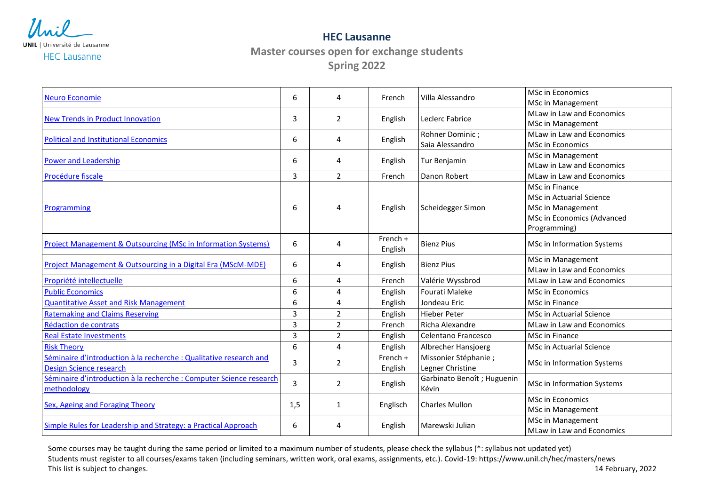

**HEC Lausanne**

**Master courses open for exchange students Spring 2022**

| <b>Neuro Economie</b>                                               | 6   | 4              | French   | Villa Alessandro                     | <b>MSc in Economics</b>          |
|---------------------------------------------------------------------|-----|----------------|----------|--------------------------------------|----------------------------------|
|                                                                     |     |                |          |                                      | MSc in Management                |
| <b>New Trends in Product Innovation</b>                             | 3   | $\overline{2}$ | English  | Leclerc Fabrice                      | MLaw in Law and Economics        |
|                                                                     |     |                |          |                                      | MSc in Management                |
| <b>Political and Institutional Economics</b>                        | 6   | 4              | English  | Rohner Dominic;                      | MLaw in Law and Economics        |
|                                                                     |     |                |          | Saia Alessandro                      | <b>MSc in Economics</b>          |
| <b>Power and Leadership</b>                                         | 6   | 4              | English  | Tur Benjamin                         | MSc in Management                |
|                                                                     |     |                |          |                                      | MLaw in Law and Economics        |
| Procédure fiscale                                                   | 3   | $\overline{2}$ | French   | Danon Robert                         | MLaw in Law and Economics        |
|                                                                     |     |                |          |                                      | MSc in Finance                   |
|                                                                     |     | 4              | English  | Scheidegger Simon                    | MSc in Actuarial Science         |
| Programming                                                         | 6   |                |          |                                      | MSc in Management                |
|                                                                     |     |                |          |                                      | MSc in Economics (Advanced       |
|                                                                     |     |                |          |                                      | Programming)                     |
| Project Management & Outsourcing (MSc in Information Systems)       | 6   | 4              | French + | <b>Bienz Pius</b>                    | MSc in Information Systems       |
|                                                                     |     |                | English  |                                      |                                  |
| Project Management & Outsourcing in a Digital Era (MScM-MDE)        | 6   | 4              | English  | <b>Bienz Pius</b>                    | <b>MSc in Management</b>         |
|                                                                     |     |                |          |                                      | MLaw in Law and Economics        |
| Propriété intellectuelle                                            | 6   | 4              | French   | Valérie Wyssbrod                     | MLaw in Law and Economics        |
| <b>Public Economics</b>                                             | 6   | 4              | English  | Fourati Maleke                       | <b>MSc in Economics</b>          |
| <b>Quantitative Asset and Risk Management</b>                       | 6   | 4              | English  | Jondeau Eric                         | MSc in Finance                   |
| <b>Ratemaking and Claims Reserving</b>                              | 3   | $\overline{2}$ | English  | <b>Hieber Peter</b>                  | MSc in Actuarial Science         |
| Rédaction de contrats                                               | 3   | $\overline{2}$ | French   | Richa Alexandre                      | <b>MLaw in Law and Economics</b> |
| <b>Real Estate Investments</b>                                      | 3   | $\overline{2}$ | English  | Celentano Francesco                  | MSc in Finance                   |
| <b>Risk Theory</b>                                                  | 6   | 4              | English  | Albrecher Hansjoerg                  | MSc in Actuarial Science         |
| Séminaire d'introduction à la recherche : Qualitative research and  | 3   | $\overline{2}$ | French + | Missonier Stéphanie;                 | MSc in Information Systems       |
| <b>Design Science research</b>                                      |     |                | English  | Legner Christine                     |                                  |
| Séminaire d'introduction à la recherche : Computer Science research | 3   | $\overline{2}$ | English  | Garbinato Benoît ; Huguenin<br>Kévin | MSc in Information Systems       |
| methodology                                                         |     |                |          |                                      |                                  |
| <b>Sex, Ageing and Foraging Theory</b>                              | 1,5 | $\mathbf{1}$   | Englisch | <b>Charles Mullon</b>                | MSc in Economics                 |
|                                                                     |     |                |          |                                      | MSc in Management                |
| Simple Rules for Leadership and Strategy: a Practical Approach      | 6   | 4              | English  | Marewski Julian                      | MSc in Management                |
|                                                                     |     |                |          |                                      | MLaw in Law and Economics        |